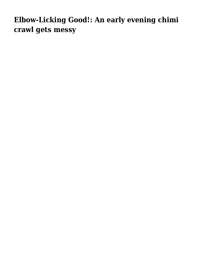## **[Elbow-Licking Good!: An early evening chimi](https://motifri.com/elbow-licking-good/) [crawl gets messy](https://motifri.com/elbow-licking-good/)**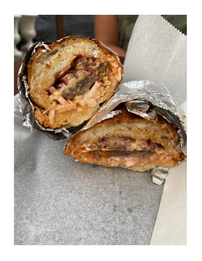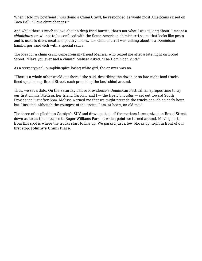When I told my boyfriend I was doing a Chimi Crawl, he responded as would most Americans raised on Taco Bell: "I love chimichangas!"

And while there's much to love about a deep fried burrito, that's not what I was talking about. I meant a *chimichurri* crawl, not to be confused with the South American chimichurri sauce that looks like pesto and is used to dress meat and poultry dishes. The chimichurri I was talking about is a Dominican hamburger sandwich with a special sauce.

The idea for a chimi crawl came from my friend Melissa, who texted me after a late night on Broad Street. "Have you ever had a chimi?" Melissa asked. "The Dominican kind?"

As a stereotypical, pumpkin-spice loving white girl, the answer was no.

"There's a whole other world out there," she said, describing the dozen or so late night food trucks lined up all along Broad Street, each promising the best chimi around.

Thus, we set a date. On the Saturday before Providence's Dominican Festival, an apropos time to try our first chimis, Melissa, her friend Carolyn, and I — the *tres blanquitas —* set out toward South Providence just after 6pm. Melissa warned me that we might precede the trucks at such an early hour, but I insisted; although the youngest of the group, I am, at heart, an old maid.

The three of us piled into Carolyn's SUV and drove past all of the markers I recognized on Broad Street, down as far as the entrance to Roger Williams Park, at which point we turned around. Moving north from this spot is where the trucks start to line up. We parked just a few blocks up, right in front of our first stop: **Johnny's Chimi Place**.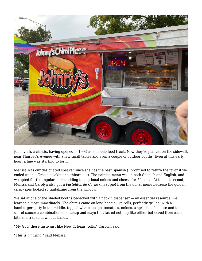

Johnny's is a classic, having opened in 1993 as a mobile food truck. Now they're planted on the sidewalk near Thurber's Avenue with a few small tables and even a couple of outdoor booths. Even at this early hour, a line was starting to form.

Melissa was our designated speaker since she has the best Spanish (I promised to return the favor if we ended up in a Greek-speaking neighborhood). The painted menu was in both Spanish and English, and we opted for the regular chimi, adding the optional onions and cheese for 50 cents. At the last second, Melissa and Carolyn also got a *Pastelitos de Carne* (meat pie) from the dollar menu because the golden crispy pies looked so tantalizing from the window.

We sat at one of the shaded booths bedecked with a napkin dispenser — an essential resource, we learned almost immediately. The chimis came on long hoagie-like rolls, perfectly grilled, with a hamburger patty in the middle, topped with cabbage, tomatoes, onions, a sprinkle of cheese and the secret sauce: a combination of ketchup and mayo that tasted nothing like either but oozed from each bite and trailed down our hands.

"My God, these taste just like New Orleans' rolls," Carolyn said.

"This is *amazing,*" said Melissa.